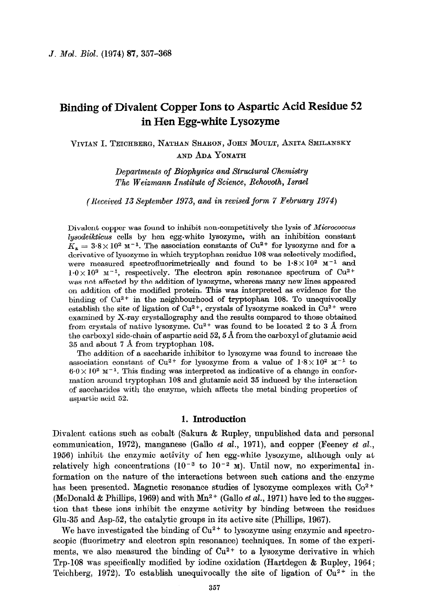# **Binding of Divalent Copper Ions to Aspartic Acid Residue 52 in Hen Egg-white Lysozyme**

VIVIAN I. TEICHBERG, NATHAN SHARON, JOHN MOULT, ANITA SMILANSKY AND ADA YONATH

> Departments of *Biophysics and Structural Chemistry*  **The Weizmann Institute of Science, Rehovoth, Israel**

*(Received 13 September 1973, and in revised form 7 February 1974)* 

Divalent copper was found to inhibit non-competitively the lysis of *Micrococcus lysodeikticus cells* by hen egg-white lysozyme, with an inhibition constant  $K_a = 3.8 \times 10^2 \text{ m}^{-1}$ . The association constants of Cu<sup>2+</sup> for lysozyme and for a derivative of lysozyme in which tryptophan residue 108 was selectively modified, were measured spectrofluorimetrically and found to be  $1.8 \times 10^2$  M<sup>-1</sup> and  $1.0 \times 10^3$  M<sup>-1</sup>, respectively. The electron spin resonance spectrum of Cu<sup>2+</sup> **was** not affected by the addition of lysozyme, whereas many new lines appeared on addition of the modified protein. This was interpreted as evidence for the binding of  $Cu^{2+}$  in the neighbourhood of tryptophan 108. To unequivocally establish the site of ligation of Cu<sup>2+</sup>, crystals of lysozyme soaked in Cu<sup>2+</sup> were examined by X-ray crystallography and the results compared to those obtained from crystals of native lysozyme.  $Cu^{2+}$  was found to be located 2 to 3 Å from the carboxyl side-chain of aspartic acid 52,5 A from the carboxyl of glutamic acid 35 and about 7 A from tryptophan 108.

The addition of a saccharide inhibitor to lysozyme was found to increase the association constant of Cu<sup>2+</sup> for lysozyme from a value of  $1.8 \times 10^2$  M<sup>-1</sup> to  $6.0 \times 10^2$  M<sup>-1</sup>. This finding was interpreted as indicative of a change in conformation around tryptophan 108 and glutamic acid 35 induced by the interaction of ssccharides with the enzyme, which affects the metal binding properties of aspartic acid 52.

# **1. Introduction**

Divalent cations such as cobalt (Sakura & Rupley, unpublished data and personal communication, 1972), manganese (Gallo *et al.*, 1971), and copper (Feeney *et al.*, 1956) inhibit the enzymic activity of hen egg-white lysozyme, although only at relatively high concentrations  $(10^{-3}$  to  $10^{-2}$  M). Until now, no experimental information on the nature of the interactions between such cations and the~enzyme has been presented. Magnetic resonance studies of lysozyme complexes with  $Co<sup>2+</sup>$ (McDonald & Phillips, 1969) and with  $Mn^{2+}$  (Gallo *et al.*, 1971) have led to the suggestion that these ions inhibit the enzyme activity by binding between the residues Glu-35 and Asp-52, the catalytic groups in its active site (Phillips, 1967).

We have investigated the binding of  $Cu^{2+}$  to lysozyme using enzymic and spectroscopic (fluorimetry and electron spin resonance) techniques. In some of the experiments, we also measured the binding of  $Cu^{2+}$  to a lysozyme derivative in which Trp-108 was specifically modified by iodine oxidation (Hartdegen  $\&$  Rupley, 1964; Teichberg, 1972). To establish unequivocally the site of ligation of  $Cu^{2+}$  in the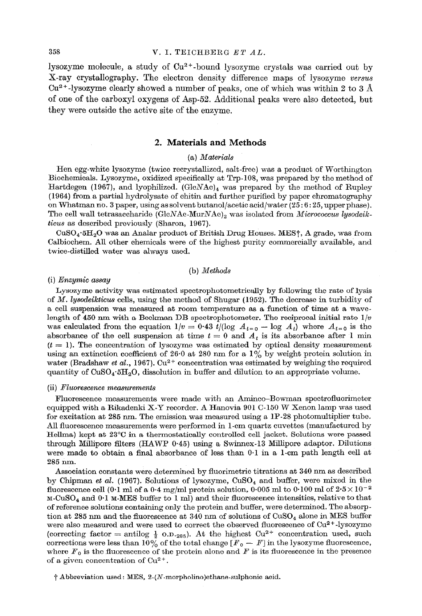lysozyme molecule, a study of  $Cu<sup>2+</sup>$ -bound lysozyme crystals was carried out by X-ray crystallography. The electron density difference maps of lysozyme versus  $Cu<sup>2+</sup>$ -lysozyme clearly showed a number of peaks, one of which was within 2 to 3 Å of one of the carboxyl oxygens of Asp-52. Additional peaks were also detected, but they *were* outside the active site of the enzyme.

# 2. **Materials and Methods**

## *(a) Materials*

Hen egg-white lysozyme (twice recrystallized, salt-free) was a product of Worthington Biochemicals. Lysozyme, oxidized specifically at Trp-108, was prepared by the method of Hartdegen (1967), and lyophilized. (GlcNAc)<sub>4</sub> was prepared by the method of Rupley (1964) from a partial hydrolysate of chitin and further purified by paper chromatography on Whatman no. 3 paper, using as solvent butanol/acetic acid/water (25 : 6 : 25, upper phase). The cell wall tetrasaccharide  $(GlcNAc\text{-}MurNAc)_2$  was isolated from *Micrococcus lysodeikticus as* described previously (Sharon, 1967).

 $CuSO<sub>4</sub>·5H<sub>2</sub>O$  was an Analar product of British Drug Houses. MES<sup>†</sup>, A grade, was from Calbioohem. All other chemicals were of the highest purity commercially available, and twice-distilled water was always used.

## (b) *Methods*

#### (i) *Enzymic assay*

Lysozyme activity was estimated spectrophotometrically by following the rate of lysis of *M. Zysodeikticus cells,* using the method of Shugar (1952). The decrease in turbidity of a cell suspension was measured at room temperature as a function of time at a wavelength of 450 nm with a Beckman DB spectrophotometer. The reciprocal initial rate  $1/v$ was calculated from the equation  $1/v = 0.43$  t/(log  $A_{t=0} - \log A_t$ ) where  $A_{t=0}$  is the absorbance of the cell suspension at time  $t = 0$  and  $A_t$  is its absorbance after 1 min  $(t = 1)$ . The concentration of lysozyme was estimated by optical density measurement using an extinction coefficient of 26.0 at 280 nm for a  $1\%$  by weight protein solution in water (Bradshaw *et al.*, 1967). Cu<sup>2+</sup> concentration was estimated by weighing the required quantity of  $CuSO_4.5H_2O$ , dissolution in buffer and dilution to an appropriate volume.

#### $(ii)$  Fluorescence measurements

Fluorescence measurements were made with an Aminco-Bowman spectrofluorimeter equipped with a Rikadenki X-Y recorder. A Hanovia 901 C-150 W Xenon lamp was used for excitation at 285 nm. The emission was measured using a 1P-28 photomultiplier tube. All fluorescence measurements were performed in l-cm quartz cuvettes (manufactured by Hellma) kept at 23°C in a thermostatically controlled cell jacket. Solutions were passed through Millipore filters (HAWP 0.45) using a Swinnex-13 Millipore adaptor. Dilutions were made to obtain a final absorbance of less than 0.1 in a l-cm path length cell at 285 nm.

Association constants were determined by fluorimetric titrations at 340 nm as described by Chipman *et al.* (1967). Solutions of lysozyme, CuSO<sub>4</sub> and buffer, were mixed in the fluorescence cell (0.1 ml of a 0.4 mg/ml protein solution, 0.005 ml to 0.100 ml of  $2.5 \times 10^{-2}$ ) M-CuSO<sub>4</sub> and  $0.1$  M-MES buffer to 1 ml) and their fluorescence intensities, relative to that of reference solutions containing only the protein and buffer, were determined. The absorption at 285 nm and the fluorescence at 340 nm of solutions of  $CuSO<sub>4</sub>$  alone in MES buffer were also measured and were used to correct the observed fluorescence of  $Cu^{2+}$ -lysozyme (correcting factor = antilog  $\frac{1}{2}$  o.p.<sub>285</sub>). At the highest Cu<sup>2+</sup> concentration used, such corrections were less than 10% of the total change  $[F_0 - F]$  in the lysozyme fluorescence, where  $F_0$  is the fluorescence of the protein alone and  $F$  is its fluorescence in the presence of a given concentration of  $Cu^{2+}$ .

 $\dagger$  Abbreviation used: MES, 2-(N-morpholino)ethane-sulphonic acid.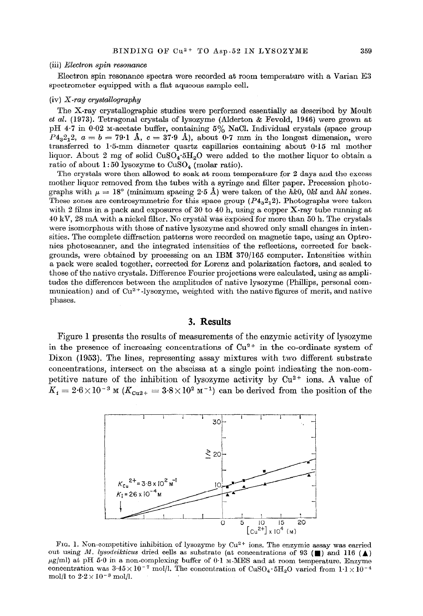#### (iii) *Electron spin resonance*

Electron spin resonance spectra were recorded at room temperature with a Varian E3 spectrometer equipped with a flat aqueous sample cell.

# (iv) X-ray *cry.stallography*

The X-ray crystallographic studies were performed essentially as described by Moult *et al.* (1973). Tetragonal crystals of lysozyme (Alderton & Fevold, 1946) were grown at pH 4.7 in 0.02 M-acetate buffer, containing 5% NaCl. Individual crystals (space group  $P_{4,2,2}$ ,  $a = b = 79.1$  Å,  $c = 37.9$  Å), about 0.7 mm in the longest dimension, were transferred to 1\*5-mm diameter quartz capillaries containing about 0.15 ml mother liquor. About 2 mg of solid CuSO<sub>4</sub><sup>+5</sup>H<sub>2</sub>O were added to the mother liquor to obtain a ratio of about  $1:50$  lysozyme to  $CuSO<sub>4</sub>$  (molar ratio).

The crystals were then allowed *to* soak at room temperature for 2 days and the excess mother liquor removed from the tubes with a syringe and filter paper. Precession photographs with  $\mu = 18^{\circ}$  (minimum spacing 2.5 Å) were taken of the hk0, 0kl and hhl zones. These zones are centrosymmetric for this space group  $(P4<sub>3</sub>2<sub>1</sub>2)$ . Photographs were taken with 2 films in *a* pack and exposures of 30 to 40 h, using a copper X-ray tube running at 40 kV, 28 mA with a nickel illter. No crystal was exposed for more than 50 h. The crystals were isomorphous with those of native lysozyme and showed only small changes in intensities. The complete diffraction patterns were recorded on magnetic tape, using an Optronics photoscanner, and the integrated intensities of the reflections, corrected for backgrounds, were obtained by processing on an IBM 370/165 computer. Intensities within a pack were scaled together, corrected for Lorenz and polarization factors, and scaled to those of the native crystals. Difference Fourier projections were calculated, using as amplitudes the differences between the amplitudes of native lysozyme (Phillips, personal communication) and of  $Cu^{2+}$ -lysozyme, weighted with the native figures of merit, and native phases.

## **3. Results**

Figure 1 presents the results of measurements of the enzymic activity of lysozyme in the presence of increasing concentrations of  $Cu^{2+}$  in the co-ordinate system of Dixon (1953). The lines, representing assay mixtures with two different substrate concentrations, intersect on the abscissa at a single point indicating the non-competitive nature of the inhibition of lysozyme activity by  $Cu^{2+}$  ions. A value of  $K_i = 2.6 \times 10^{-3}$  M  $(K_{\text{Cu2+}} = 3.8 \times 10^2 \text{ m}^{-1})$  can be derived from the position of the



FIG. 1. Non-competitive inhibition of lysozyme by Cu<sup>2+</sup> ions. The enzymic assay was carried out using M. lysodeikticus dried cells as substrate (at concentrations of 93 ( $\blacksquare$ ) and 116 ( $\blacktriangle$ )  $\mu$ g/ml) at pH 5.0 in a non-complexing buffer of 0.1 M-MES and at room temperature. Enzyme concentration was  $3.45 \times 10^{-7}$  mol/l. The concentration of CuSO<sub>4</sub>.5H<sub>2</sub>O varied from  $1.1 \times 10^{-4}$ mol/l to  $2{\cdot} 2 \times 10^{-3}$  mol/l.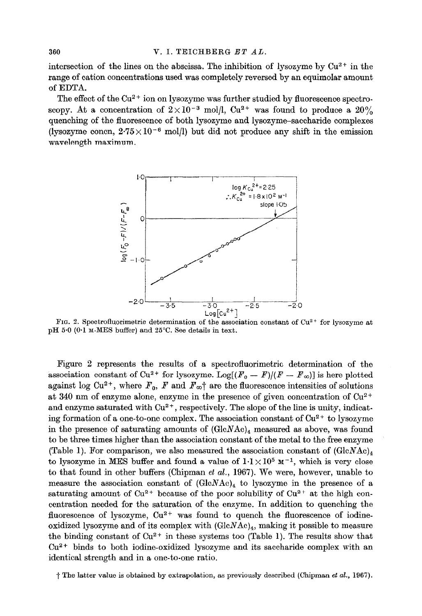intersection of the lines on the abscissa. The inhibition of lysozyme by  $Cu^{2+}$  in the range of cation concentrations used was completely reversed by an equimolar amount of EDTA.

The effect of the  $Cu^{2+}$  ion on lysozyme was further studied by fluorescence spectroscopy. At a concentration of  $2 \times 10^{-3}$  mol/l, Cu<sup>2+</sup> was found to produce a 20% quenching of the fluorescence of both lysozyme and lysozyme-saccharide complexes (lysozyme concn,  $2.75 \times 10^{-6}$  mol/l) but did not produce any shift in the emission wavelength maximum.



FIG. 2. Spectrofluorimetric determination of the association constant of Cu<sup>2+</sup> for lysozyme at pH 5.0 (0.1 M-MES buffer) and 25°C. See details in text.

Figure 2 represents the results of a spectrofluorimetric determination of the association constant of Cu<sup>2+</sup> for lysozyme. Log[ $(F_o - F)/(F - F_{\infty})$ ] is here plotted against log Cu<sup>2+</sup>, where  $F_0$ ,  $F$  and  $F_{\infty}$ <sup>+</sup> are the fluorescence intensities of solutions at 340 nm of enzyme alone, enzyme in the presence of given concentration of  $Cu^{2+}$ and enzyme saturated with  $Cu^{2+}$ , respectively. The slope of the line is unity, indicating formation of a one-to-one complex. The association constant of  $Cu^{2+}$  to lysozyme in the presence of saturating amounts of  $(GlcNAc)_4$  measured as above, was found to be three times higher than the association constant of the metal to the free enzyme (Table 1). For comparison, we also measured the association constant of  $(GlcNAc)_4$ to lysozyme in MES buffer and found a value of  $1.1 \times 10^5$  M<sup>-1</sup>, which is very close to that found in other buffers (Chipman *et* al., 1967). We were, however, unable to measure the association constant of  $(GlcNAc)_4$  to lysozyme in the presence of a saturating amount of  $Cu^{2+}$  because of the poor solubility of  $Cu^{2+}$  at the high concentration needed for the saturation of the enzyme. In addition to quenching the fluorescence of lysozyme,  $Cu^{2+}$  was found to quench the fluorescence of iodineoxidized lysozyme and of its complex with  $(GlcNAc)_4$ , making it possible to measure the binding constant of  $Cu^{2+}$  in these systems too (Table 1). The results show that  $Cu^{2+}$  binds to both iodine-oxidized lysozyme and its saccharide complex with an identical strength and in a one-to-one ratio.

 $\dagger$  The latter value is obtained by extrapolation, as previously described (Chipman et al., 1967).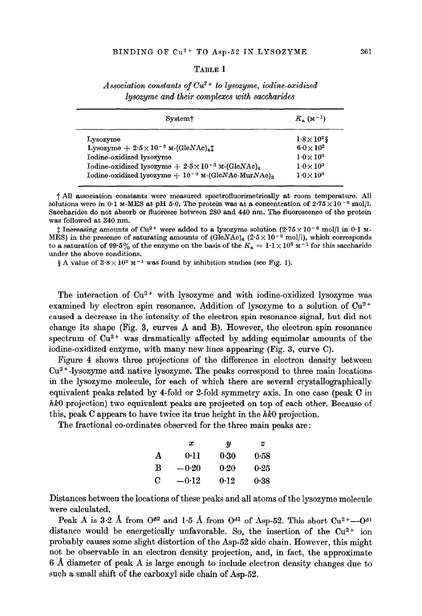## TABLE 1

|  |  | Association constants of $Cu^{2+}$ to lysozyme, iodine-oxidized |  |
|--|--|-----------------------------------------------------------------|--|
|  |  | lysozyme and their complexes with saccharides                   |  |

| System <sup>†</sup>                                                                   | $K_{\rm a}$ (M <sup>-1</sup> ) |
|---------------------------------------------------------------------------------------|--------------------------------|
| Lysozyme                                                                              | $1.8\times10^{2}$ \$           |
| Lysozyme $+2.5\times10^{-3}$ M-(GleNAe) <sub>4</sub> <sup><math>\ddagger</math></sup> | $6.0\times10^{2}$              |
| Iodine-oxidized lysozyme                                                              | $1.0 \times 10^3$              |
| Iodine-oxidized lysozyme + $2.5 \times 10^{-3}$ M-(GleNAe) <sub>4</sub>               | $1.0 \times 10^3$              |
| Iodine-oxidized lysozyme $+10^{-8}$ M-(GlcNAc-MurNAc) <sub>2</sub>                    | $1.0 \times 10^3$              |
|                                                                                       |                                |

 $\dagger$  All association constants were measured spectrofluorimetrically at room temperature. All solutions were in 0.1 M-MES at pH 5.0. The protein was at a concentration of  $2.75 \times 10^{-6}$  mol/l. Saccharides do not absorb or fluoresce between 280 and 440 nm. The fluorescence of the protein was followed at 340 nm.

 $\ddagger$  Increasing amounts of Cu<sup>2+</sup> were added to a lysozyme solution (2.75 × 10<sup>-6</sup> mol/l in 0.1 M-MES) in the presence of saturating amounts of  $(GlcNAc)_4$  (2.5 x 10<sup>-3</sup> mol/l), which corresponds to a saturation of 99.5% of the enzyme on the basis of the  $K_a = 1.1 \times 10^5$  M<sup>-1</sup> for this saccharide under the above conditions.

§ A value of  $3.8 \times 10^{2}$  M<sup>-1</sup> was found by inhibition studies (see Fig. 1).

The interaction of  $Cu^{2+}$  with lysozyme and with iodine-oxidized lysozyme was examined by electron spin resonance. Addition of lysozyme to a solution of  $Cu^{2+}$ caused a decrease in the intensity of the electron spin resonance signal, but did not change its shape (Fig. 3, curves A and B). However, the electron spin resonance spectrum of  $Cu^{2+}$  was dramatically affected by adding equimolar amounts of the iodine-oxidized enzyme, with many new lines appearing (Fig. 3, curve C).

Figure 4 shows three projections of the difference in electron density between Cu2 \* -1ysozyme and native lysozyme. The peaks correspond to three main locations in the lysozyme molecule, for each of which there are several crystallographically equivalent peaks related by 4-fold or 2-fold symmetry axis. In one case (peak C in *hk0* projection) two equivalent peaks are projected on top of each other. Because of this, peak C appears to have twice its true height in the *hk0* projection.

The fractional co-ordinates observed for the three main peaks are :

|   | x       | IJ   | z    |
|---|---------|------|------|
| A | 0.11    | 0.30 | 0.58 |
| B | $-0.20$ | 0.20 | 0.25 |
| C | $-0.12$ | 0.12 | 0.38 |

Distances between the locations of these peaks and all atoms of the lysozyme molecule were caloulated.

Peak A is 3.2 Å from  $O^{62}$  and 1.5 Å from  $O^{61}$  of Asp-52. This short  $Cu^{2+}$ - $O^{61}$ distance would be energetically unfavorable. So, the insertion of the  $Cu^{2+}$  ion probably causes some slight distortion of the Asp-52 side chain. However, this might not be observable in an electron density projection, and, in fact, the approximate 6 A diameter of peak A is large enough to include electron density changes due to such a small shift of the carboxyl side chain of Asp-52.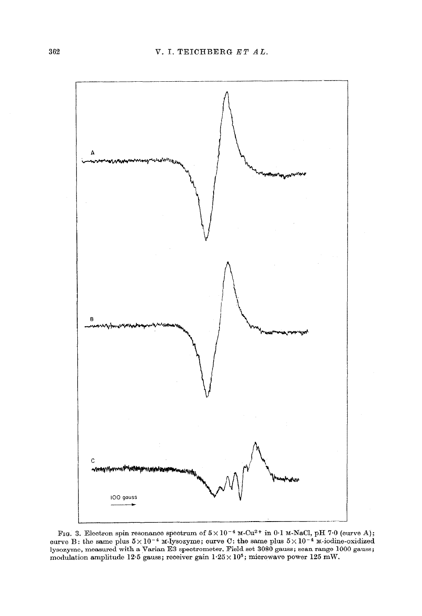

FIG. 3. Electron spin resonance spectrum of  $5 \times 10^{-4}$  M-Cu<sup>2+</sup> in 0.1 M-NaCl, pH 7.0 (curve A); curve B: the same plus  $5 \times 10^{-4}$  M-lysozyme; curve C: the same plus  $5 \times 10^{-4}$  M-iodine-oxidized lysozyme, measured with a Varian E3 spectrometer. Field set 3080 gauss; scan range 1000 gauss; modulation amplitude 12.5 gauss; receiver gain  $1.25 \times 10^5$ ; microwave power 125 mW.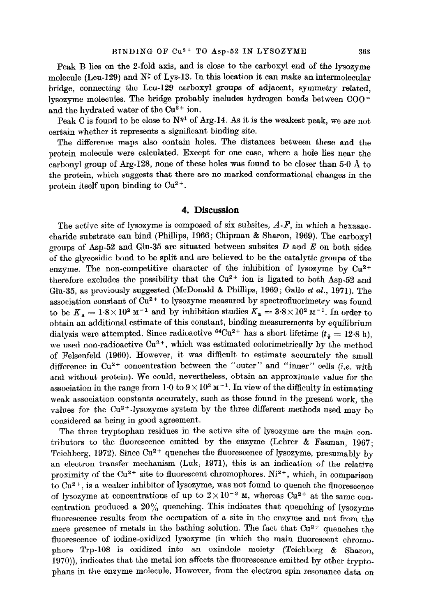Peak B lies on the 2-fold axis, and is close to the carboxyl end of the lysozyme molecule (Leu-129) and  $N^{\zeta}$  of Lys-13. In this location it can make an intermolecular bridge, connecting the Leu-129 carboxyl groups of adjacent, symmetry related, lysozyme molecules. The bridge probably includes hydrogen bonds between  $COO^$ and the hydrated water of the Cu2+ ion.

Peak C is found to be close to  $N<sup>{n}</sup>$  of Arg-14. As it is the weakest peak, we are not certain whether it represents a significant binding site.

The difference maps also contain holes. The distances between these and the protein molecule were calculated. Except for one case, where a hole lies near the carbonyl group of Arg-128, none of these holes was found to be closer than 5-O A to the protein, which suggests that there are no marked conformational changes in the protein itself upon binding to  $Cu^{2+}$ .

# 4. **Discussion**

The active site of lysozyme is composed of six subsites,  $A-F$ , in which a hexasaccharide substrate can bind (Phillips, 1966; **Chipman &** Sharon, 1969). The carboxyl **groups of** Asp-52 and Glu-35 are situated between subsites *D* and *E* on both sides of the glycosidic bond to be split and are believed to be the catalytic groups of the enzyme. The non-competitive character of the inhibition of lysozyme by  $Cu^{2+}$ therefore excludes the possibility that the  $Cu^{2+}$  ion is ligated to both Asp-52 and Glu-35, as previously suggested (McDonald & Phillips, 1969; Gallo *et al.*, 1971). The association constant of Cu<sup>2+</sup> to lysozyme measured by spectrofluorimetry was found to be  $K_a = 1.8 \times 10^2$  M<sup>-1</sup> and by inhibition studies  $K_a = 3.8 \times 10^2$  M<sup>-1</sup>. In order to obtain an additional estimate of this constant, binding measurements by equilibrium dialysis were attempted. Since radioactive <sup>64</sup>Cu<sup>2+</sup> has a short lifetime  $(t_1 = 12.8 \text{ h})$ , we used non-radioactive  $Cu^{2+}$ , which was estimated colorimetrically by the method of Pelsenfeld (1960). However, it was difficult to estimate accurately the small difference in  $Cu^{2+}$  concentration between the "outer" and "inner" cells (i.e. with and without protein). We could, nevertheless, obtain an approximate value for the association in the range from  $1\cdot 0$  to  $9\times 10^2$  M<sup>-1</sup>. In view of the difficulty in estimating weak association constants accurately, such as those found in the present work, the values for the  $Cu^{2+}$ -lysozyme system by the three different methods used may be considered as being in good agreement.

The three tryptophan residues in the active site of lysozyme are the main con\_ tributors to the fluorescence emitted by the enzyme (Lehrer  $\&$  Fasman, 1967; Teichberg, 1972). Since  $Cu^{2+}$  quenches the fluorescence of lysozyme, presumably by an electron transfer mechanism (Luk, 1971), this is an indication of the relative proximity of the  $Cu^{2+}$  site to fluorescent chromophores.  $Ni^{2+}$ , which, in comparison to Cu<sup>2+</sup>, is a weaker inhibitor of lysozyme, was not found to quench the fluorescence of lysozyme at concentrations of up to  $2 \times 10^{-3}$  M, whereas  $Cu^{2+}$  at the same concentration produced a  $20\%$  quenching. This indicates that quenching of Iysozyme fluorescence results from the occupation of a site in the enzyme and not from the mere presence of metals in the bathing solution. The fact that  $Cu^{2+}$  quenches the fluorescence of iodine-oxidized lysozyme (in which the main fluorescent chromophore Trp-108 is oxidized into an oxindole moiety (Teichberg & Sharon, 197O)), indicates that the metal ion affects the fluorescence emitted by other **trypto\_ phans in** the enzyme molecule. However, from the electron spin resonance data on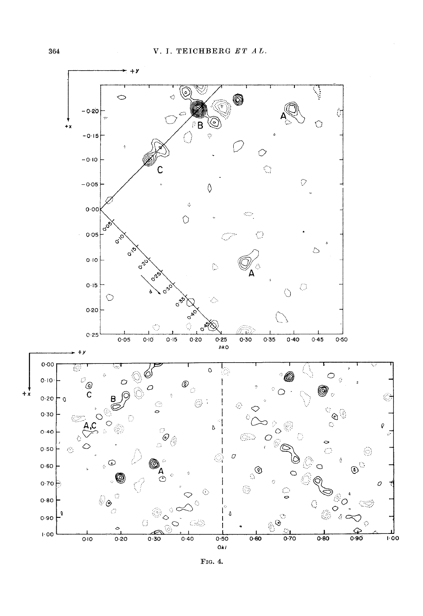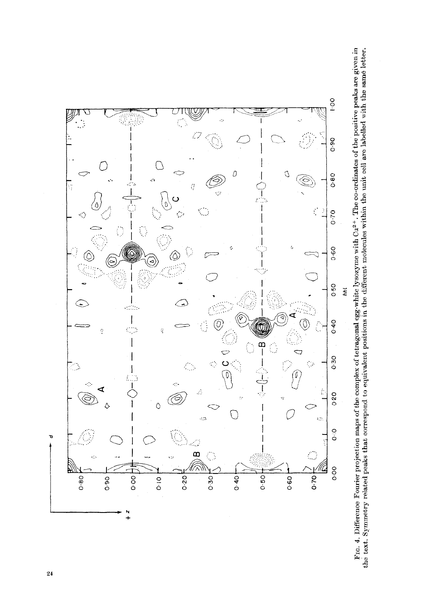

F1c. 4. Difference Fourier projection maps of the complex of tetragonal egg-white lysozyme with  $Cu^{2+}$ . The co-ordinates of the positive peaks are given in the text. Symmetry related peaks that ocrrespond to equivalent p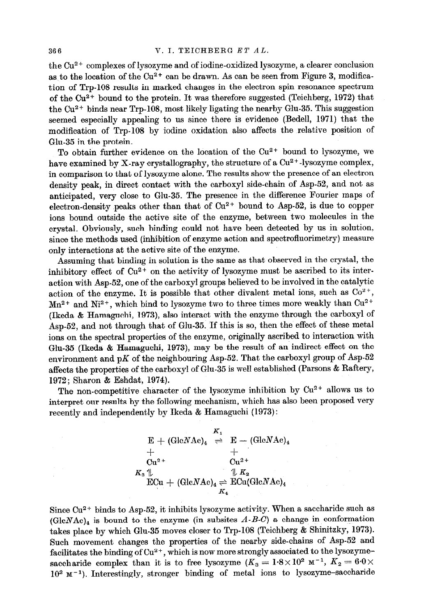# **366 17. <b>I. ILLEGERG ET AL.**

the Cu2 + complexes of lysozyme and of iodine-oxidized lysozyme, a clearer conclusion as to the location of the  $Cu^{2+}$  can be drawn. As can be seen from Figure 3, modification of Trp-108 results in marked changes in the electron spin resonance spectrum of the  $Cu^{2+}$  bound to the protein. It was therefore suggested (Teichberg, 1972) that the Cu2+ binds near Trp-108, most likely ligating the nearby Glu-35. This suggestion seemed especially appealing to us since there is evidence (Bedell, 1971) that the modification of Trp-108 by iodine oxidation also affects the relative position of Glu-35 in the protein.

To obtain further evidence on the location of the Cu<sup>2+</sup> bound to lysozyme, we have examined by X-ray crystallography, the structure of a Cu<sup>2+</sup>-lysozyme complex, in comparison to that of lysozyme alone. The results show the presence of an electron density peak, in direct contact with the oarboxyl side-chain of Asp-52, and not as anticipated, very close to Glu-35. The presence in the difference Fourier maps of electron-density peaks other than that of  $Cu<sup>2+</sup>$  bound to Asp-52, is due to copper ions bound outside the active site of the enzyme, between two molecules in the crystal. Obviously, such binding could not have been detected by us in solution, since the methods used (inhibition of enzyme action and spectrofluorimetry) measure only interactions at the active site of the enzyme.

Assuming that binding in solution is the same as that observed in the crystal, the inhibitory effect of  $Cu^{2+}$  on the activity of lysozyme must be ascribed to its interaction with Asp-52, one of the carboxyl groups believed to be involved in the catalytic action of the enzyme. It is possible that other divalent metal ions, such as  $Co^{2+}$ ,  $Mn^{2+}$  and  $Ni^{2+}$ , which bind to lysozyme two to three times more weakly than  $Cu^{2+}$ (Ikeda & Hamaguchi, 1973), also interact with the enzyme through the oarboxyl of Asp-52, and not through that of Glu-35. If this is so, then the effect of these metal ions on the spectral properties of the enzyme, originally ascribed to interaction with Glu-35 (Ikeda % Hamaguchi, 1973), may be the result of an indirect effect on the environment and pK of the neighbouring Asp-52. That the carboxyl group of Asp-52 affects the properties of the carboxyl of Glu-35 is well established (Parsons % Raftery, 1972; Sharon % Eshdat, 1974).

The non-competitive character of the lysozyme inhibition by  $Cu^{2+}$  allows us to interpret our results by the following mechanism, which has also been proposed very recently and independently by Ikeda % Hamaguchi (1973) :

> $K_{1}$  $E + (GlcNAc)_4 \Rightarrow E - (GlcNAc)_6$ + +  $Cu^{2+}$   $Cu^{2+}$  $K_3 \parallel \qquad \qquad \qquad \parallel K_2$  $ECu + (GlcNAc)<sub>4</sub> \rightleftharpoons ECu(GlcNAc)<sub>4</sub>$  $K_{4}$

Since  $Cu^{2+}$  binds to Asp-52, it inhibits lysozyme activity. When a saccharide such as  $(GlcNAc)<sub>4</sub>$  is bound to the enzyme (in subsites  $A-B-C$ ) a change in conformation takes place by which Glu-35 moves closer to Trp-108 (Teichberg & Shinitzky, 1973). Such movement changes the properties of the nearby side-chains of Asp-52 and facilitates the binding of Cu2 **+ ,** whieh is now more strongly associated to the lysozymesaccharide complex than it is to free lysozyme  $(K_3 = 1.8 \times 10^2 \text{ m}^{-1}, K_2 = 6.0 \times$  $10^2$  M<sup>-1</sup>). Interestingly, stronger binding of metal ions to lysozyme-saccharide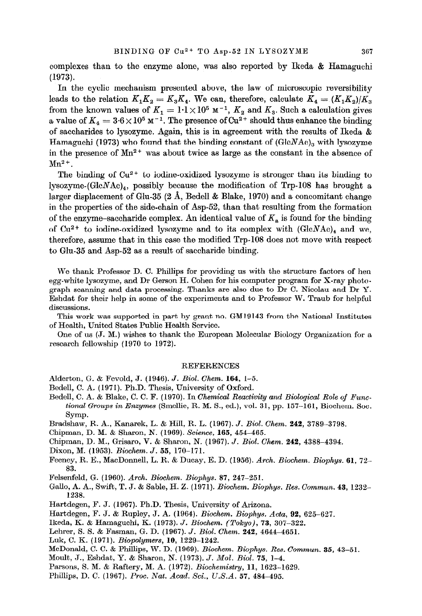complexes than to the enzyme alone, was also reported by Ikeda & Hamaguchi (1973).

In the cyclic mechanism presented above, the law of microscopic reversibility leads to the relation  $K_1K_2 = K_3K_4$ . We can, therefore, calculate  $K_4 = (K_1K_2)/K_3$ from the known values of  $K_1 = 1.1 \times 10^5$  M<sup>-1</sup>,  $K_2$  and  $K_3$ . Such a calculation gives a value of  $K_4 = 3.6 \times 10^5 \text{ m}^{-1}$ . The presence of Cu<sup>2+</sup> should thus enhance the binding of saccharides to lysozyme. Again, this is in agreement with the results of Ikeda & Hamaguchi (1973) who found that the binding constant of  $(GlcNAc)_a$  with lysozyme in the presence of  $Mn^{2+}$  was about twice as large as the constant in the absence of  $Mn^{2+}$ .

The binding of  $Cu^{2+}$  to iodine-oxidized lysozyme is stronger than its binding to lysozyme- $(GlcNAc)_4$ , possibly because the modification of Trp-108 has brought a larger displacement of Glu-35 (2 A, Bedell & Blake, 1970) and a concomitant change in the properties of the side-chain of Asp-52, than that resulting from the formation of the enzyme-saccharide complex. An identical value of  $K_a$  is found for the binding of  $Cu^{2+}$  to iodine-oxidized lysozyme and to its complex with  $(GlcNAc)_4$  and we, therefore, assume that in this case the modified Trp-108 does not move with respect to Glu-35 and Asp-52 as a result of saccharide binding.

We thank Professor D. C. Phillips for providing us with the structure factors of hen egg-white lysozyme, and Dr Gerson H. Cohen for his computer program for X-ray photograph scanning and data processing. Thanks are also due to Dr C. Nicolau and Dr Y. Eshdat for their help in some of the experiments and to Professor W. Traub for helpful discussions.

This work was supported in part by grant no. GM19143 from the National Institutes of Health, United States Public Health Service.

One of us (J. M.) wishes to thank the European Molecular Biology Organization for a research fellowship (1970 to 1972).

## REFERENCES

- Alderton, G. & Fevold, J. (1946). J. *Biol. Chem.* 164, 1-5.
- Bedell, C. A, (1971). Ph.D. Thesis, University of Oxford.
- Bedell, C. A. & Blake, C. C. F'. (1970). In *Chemical* Reactivity and Biological *Role of* Func*tional Groups in Enzymes* (Smellie, R. M. S., ed.), vol. 31, pp. 157-161, Biochem. Soc. Symp.
- Bradshaw, R. A., Kanarek, L. & Hill, R. L. (1967). J. *Biol. Ghem.* 242, 3789-3798.
- Chipman, D. M. & Sharon, N. (1969). Science, 165, 454-465.
- Chipman, D. M., Grisaro, V. & Sharon, N. (1967). J. *Biol. Chem.* 242, 4388-4394.
- Dixon, M. (1953). Biochem. *J.* 55, 170-171.
- Feeney, R. E., MacDonnell, L. R. & Ducay, E. D. (1956). Arch. *Biochem. Biophys. 61, 72- 83.*
- Felsenfeld, G. (1960). *Arch. Biochem. Biophys.* 87, 247-251.
- *GaJ.lo,* A. A., Swift, T. J. & Sable, H. Z.. (1971). *Biochem. Biophys. Res. Commun. 43, 1232- 1238.*
- Hartdegen, F. J. (1967). Ph.D. Thesis, University of Arizona.
- Hartdegen, F. J. & Rupley, J. A. (1964). *Biochem. Biophys. Acta, 92, 625-627.*
- Ikeda, K. & Hamaguchi, K. (1973). *J. Biochem. (Tokyo), 73, 307-322.*
- Lehrer, S. 8. & Fasman, G. D. (1967). *J. Biol. Chem. 242, 4644-4651.*
- Luk, 6. K. (1971). *Biopolymers,* 10, 1229-1242.
- McDonald, C. C. & Phillips, W. D. (1969). *Biochem. Biophye. Res. Commun. 35, 43-51.*
- Moult, J., Eshdat, Y. & Sharon, N. (1973). *J. Mol. Biol.* 75, 1-4.
- Parsons, S. M. & Raftery, M. A. (1972). *Biochemistry*, 11, 1623-1629.
- Phillips, D. C. (1967). *Proc. Nat. Acad. Sci., U.S.A. 57, 484-495.*